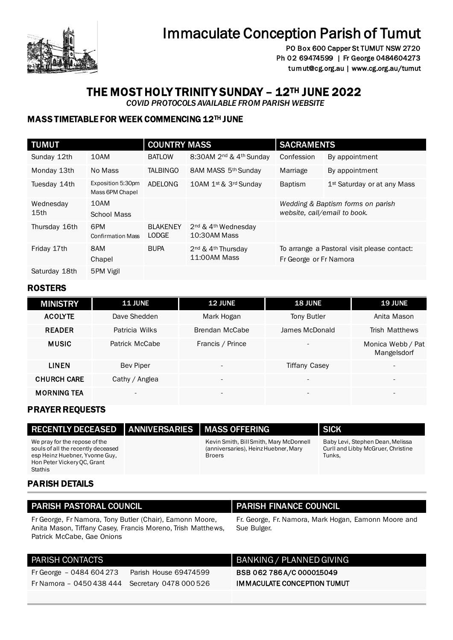

# Immaculate Conception Parish of Tumut

PO Box 600 Capper St TUMUT NSW 2720 Ph 02 69474599 | Fr George 0484604273 tumut@cg.org.au | www.cg.org.au/tumut

# THE MOST HOLY TRINITY SUNDAY – 12TH JUNE 2022

 *COVID PROTOCOLS AVAILABLE FROM PARISH WEBSITE* 

# MASS TIMETABLE FOR WEEK COMMENCING 12TH JUNE

| <b>TUMUT</b>                  |                                      | <b>COUNTRY MASS</b> |                                                            | <b>SACRAMENTS</b>                                                 |                                             |
|-------------------------------|--------------------------------------|---------------------|------------------------------------------------------------|-------------------------------------------------------------------|---------------------------------------------|
|                               |                                      |                     |                                                            |                                                                   |                                             |
| Sunday 12th                   | 10AM                                 | <b>BATLOW</b>       | 8:30AM 2 <sup>nd</sup> & 4 <sup>th</sup> Sunday            | Confession                                                        | By appointment                              |
| Monday 13th                   | No Mass                              | <b>TALBINGO</b>     | 8AM MASS 5th Sunday                                        | Marriage                                                          | By appointment                              |
| Tuesday 14th                  | Exposition 5:30pm<br>Mass 6PM Chapel | ADELONG             | 10AM 1st & 3rd Sunday                                      | <b>Baptism</b>                                                    | 1 <sup>st</sup> Saturday or at any Mass     |
| Wednesday<br>15 <sub>th</sub> | 10AM                                 |                     |                                                            | Wedding & Baptism forms on parish<br>website, call/email to book. |                                             |
|                               | School Mass                          |                     |                                                            |                                                                   |                                             |
| Thursday 16th                 | 6PM                                  | <b>BLAKENEY</b>     | 2 <sup>nd</sup> & 4 <sup>th</sup> Wednesday                |                                                                   |                                             |
|                               | <b>Confirmation Mass</b>             | LODGE               | 10:30AM Mass                                               |                                                                   |                                             |
| Friday 17th                   | 8AM                                  | <b>BUPA</b>         | 2 <sup>nd</sup> & 4 <sup>th</sup> Thursday<br>11:00AM Mass |                                                                   | To arrange a Pastoral visit please contact: |
|                               | Chapel                               |                     |                                                            | Fr George or Fr Namora                                            |                                             |
| Saturday 18th                 | 5PM Vigil                            |                     |                                                            |                                                                   |                                             |

# ROSTERS

| <b>MINISTRY</b>    | <b>11 JUNE</b>           | <b>12 JUNE</b>           | <b>18 JUNE</b>           | <b>19 JUNE</b>                   |
|--------------------|--------------------------|--------------------------|--------------------------|----------------------------------|
| <b>ACOLYTE</b>     | Dave Shedden             | Mark Hogan               | <b>Tony Butler</b>       | Anita Mason                      |
| <b>READER</b>      | Patricia Wilks           | Brendan McCabe           | James McDonald           | Trish Matthews                   |
| <b>MUSIC</b>       | Patrick McCabe           | Francis / Prince         | $\overline{\phantom{0}}$ | Monica Webb / Pat<br>Mangelsdorf |
| <b>LINEN</b>       | <b>Bev Piper</b>         | $\overline{\phantom{0}}$ | <b>Tiffany Casey</b>     | $\overline{\phantom{a}}$         |
| <b>CHURCH CARE</b> | Cathy / Anglea           | $\overline{\phantom{a}}$ | $\overline{\phantom{0}}$ | $\overline{\phantom{a}}$         |
| <b>MORNING TEA</b> | $\overline{\phantom{a}}$ | $\overline{\phantom{a}}$ | $\overline{\phantom{a}}$ |                                  |

# PRAYER REQUESTS

| RECENTLY DECEASED   ANNIVERSARIES   MASS OFFERING                                                                                                      |                                                                                                  | <b>SICK</b>                                                                      |
|--------------------------------------------------------------------------------------------------------------------------------------------------------|--------------------------------------------------------------------------------------------------|----------------------------------------------------------------------------------|
| We pray for the repose of the<br>souls of all the recently deceased<br>esp Heinz Huebner, Yvonne Guy,<br>Hon Peter Vickery OC, Grant<br><b>Stathis</b> | Kevin Smith, Bill Smith, Mary McDonnell<br>(anniversaries), Heinz Huebner, Mary<br><b>Broers</b> | Baby Levi, Stephen Dean, Melissa<br>Curll and Libby McGruer, Christine<br>Tunks. |

### PARISH DETAILS

### PARISH PASTORAL COUNCIL PARISH FINANCE COUNCIL

Fr George, Fr Namora, Tony Butler (Chair), Eamonn Moore, Anita Mason, Tiffany Casey, Francis Moreno, Trish Matthews, Patrick McCabe, Gae Onions

Fr George – 0484 604 273 Parish House 69474599 Fr Namora – 0450 438 444 Secretary 0478 000 526

Fr. George, Fr. Namora, Mark Hogan, Eamonn Moore and Sue Bulger.

### PARISH CONTACTS **BANKING** / PLANNED GIVING

BSB 062 786 A/C 000015049 IMMACULATE CONCEPTION TUMUT